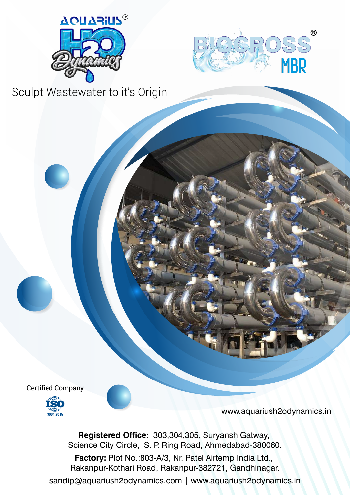



Certified Company



www.aquariush2odynamics.in

**Registered Office:** 303,304,305, Suryansh Gatway, Science City Circle, S. P. Ring Road, Ahmedabad-380060.

**Factory:** Plot No.:803-A/3, Nr. Patel Airtemp India Ltd., Rakanpur-Kothari Road, Rakanpur-382721, Gandhinagar.

sandip@aquariush2odynamics.com | www.aquariush2odynamics.in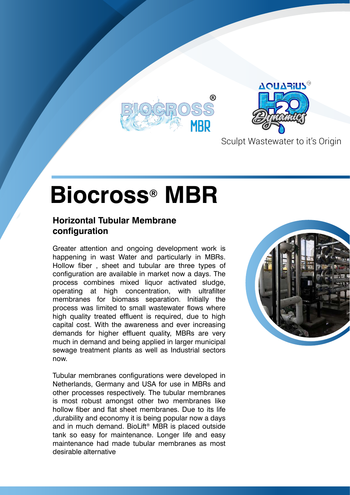



# **Biocross® MBR**

#### **Horizontal Tubular Membrane configuration**

Greater attention and ongoing development work is happening in wast Water and particularly in MBRs. Hollow fiber , sheet and tubular are three types of configuration are available in market now a days. The process combines mixed liquor activated sludge, operating at high concentration, with ultrafilter membranes for biomass separation. Initially the process was limited to small wastewater flows where high quality treated effluent is required, due to high capital cost. With the awareness and ever increasing demands for higher effluent quality, MBRs are very much in demand and being applied in larger municipal sewage treatment plants as well as Industrial sectors now.

Tubular membranes configurations were developed in Netherlands, Germany and USA for use in MBRs and other processes respectively. The tubular membranes is most robust amongst other two membranes like hollow fiber and flat sheet membranes. Due to its life ,durability and economy it is being popular now a days and in much demand. BioLift® MBR is placed outside tank so easy for maintenance. Longer life and easy maintenance had made tubular membranes as most desirable alternative

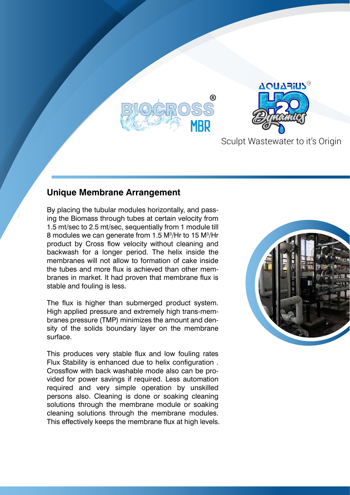



## **Unique Membrane Arrangement**

By placing the tubular modules horizontally, and passing the Biomass through tubes at certain velocity from 1.5 mt/sec to 2.5 mt/sec, sequentially from 1 module till 8 modules we can generate from 1.5 M<sup>3</sup>/Hr to 15 M<sup>3</sup>/Hr product by Cross flow velocity without cleaning and backwash for a longer period. The helix inside the membranes will not allow to formation of cake inside the tubes and more flux is achieved than other membranes in market. It had proven that membrane flux is stable and fouling is less.

The flux is higher than submerged product system. High applied pressure and extremely high trans-membranes pressure (TMP) minimizes the amount and density of the solids boundary layer on the membrane surface.

This produces very stable flux and low fouling rates Flux Stability is enhanced due to helix configuration . Crossflow with back washable mode also can be provided for power savings if required. Less automation required and very simple operation by unskilled persons also. Cleaning is done or soaking cleaning solutions through the membrane module or soaking cleaning solutions through the membrane modules. This effectively keeps the membrane flux at high levels.

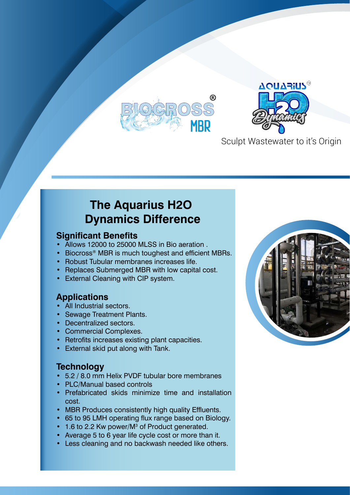



# **The Aquarius H2O Dynamics Difference**

#### **Significant Benefits**

- Allows 12000 to 25000 MLSS in Bio aeration .
- Biocross<sup>®</sup> MBR is much toughest and efficient MBRs.
- Robust Tubular membranes increases life.
- Replaces Submerged MBR with low capital cost.
- **External Cleaning with CIP system.**

# **Applications**

- **All Industrial sectors.**
- Sewage Treatment Plants.
- Decentralized sectors.
- Commercial Complexes.
- Retrofits increases existing plant capacities.
- External skid put along with Tank.

## **Technology**

- 5.2 / 8.0 mm Helix PVDF tubular bore membranes
- PLC/Manual based controls
- Prefabricated skids minimize time and installation cost.
- MBR Produces consistently high quality Effluents.
- 65 to 95 LMH operating flux range based on Biology.
- 1.6 to 2.2 Kw power/M<sup>3</sup> of Product generated.
- Average 5 to 6 year life cycle cost or more than it.
- Less cleaning and no backwash needed like others.

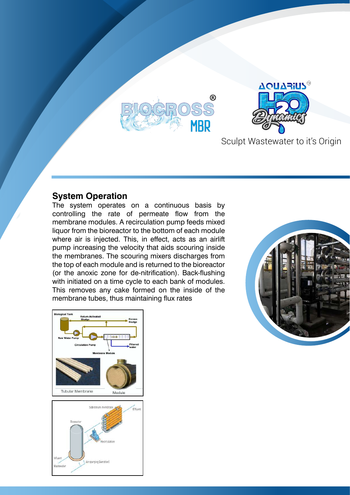



#### **System Operation**

The system operates on a continuous basis by controlling the rate of permeate flow from the membrane modules. A recirculation pump feeds mixed liquor from the bioreactor to the bottom of each module where air is injected. This, in effect, acts as an airlift pump increasing the velocity that aids scouring inside the membranes. The scouring mixers discharges from the top of each module and is returned to the bioreactor (or the anoxic zone for de-nitrification). Back-flushing with initiated on a time cycle to each bank of modules. This removes any cake formed on the inside of the membrane tubes, thus maintaining flux rates





Air sparging [Aeration]

Influer

Wastewate